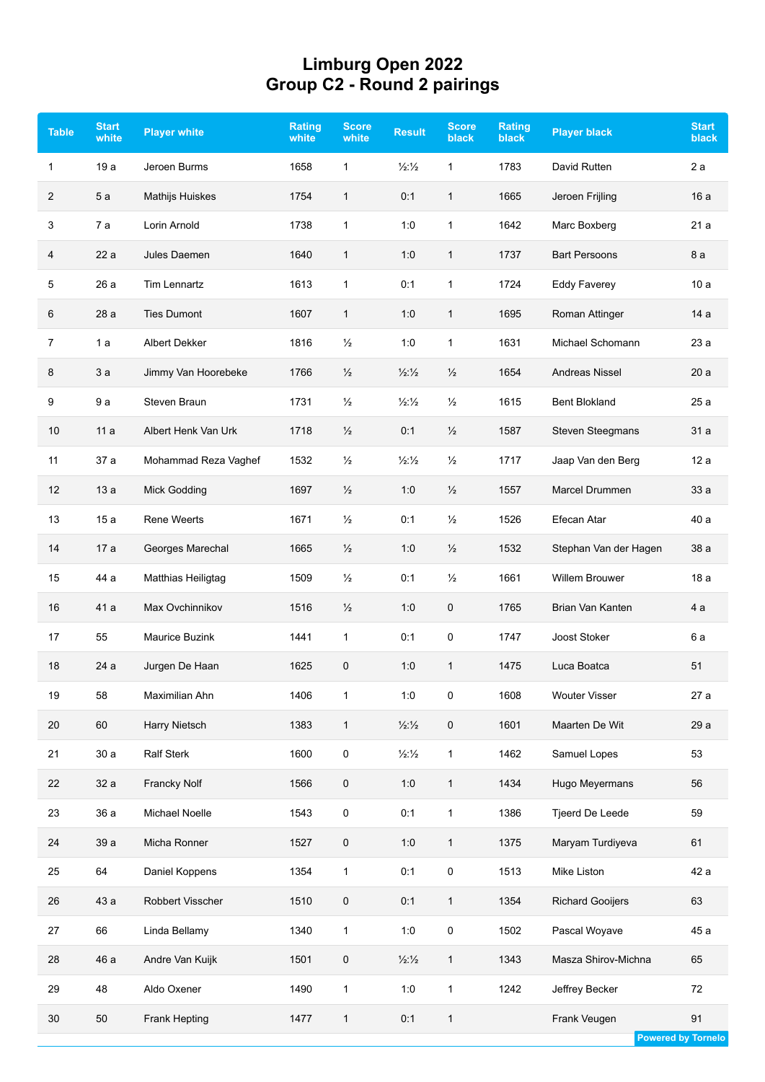## **Limburg Open 2022 Group C2 - Round 2 pairings**

| <b>Table</b> | <b>Start</b><br>white | <b>Player white</b>   | <b>Rating</b><br>white | <b>Score</b><br>white | <b>Result</b>               | <b>Score</b><br><b>black</b> | Rating<br><b>black</b> | <b>Player black</b>     | <b>Start</b><br>black |
|--------------|-----------------------|-----------------------|------------------------|-----------------------|-----------------------------|------------------------------|------------------------|-------------------------|-----------------------|
| 1            | 19 a                  | Jeroen Burms          | 1658                   | 1                     | $\frac{1}{2}$ $\frac{1}{2}$ | 1                            | 1783                   | David Rutten            | 2 a                   |
| 2            | 5a                    | Mathijs Huiskes       | 1754                   | $\mathbf{1}$          | 0:1                         | $\mathbf{1}$                 | 1665                   | Jeroen Frijling         | 16a                   |
| 3            | 7a                    | Lorin Arnold          | 1738                   | 1                     | 1:0                         | $\mathbf{1}$                 | 1642                   | Marc Boxberg            | 21a                   |
| 4            | 22a                   | Jules Daemen          | 1640                   | 1                     | 1:0                         | 1                            | 1737                   | <b>Bart Persoons</b>    | 8 a                   |
| 5            | 26 a                  | <b>Tim Lennartz</b>   | 1613                   | 1                     | 0:1                         | 1                            | 1724                   | <b>Eddy Faverey</b>     | 10a                   |
| 6            | 28a                   | <b>Ties Dumont</b>    | 1607                   | 1                     | 1:0                         | $\mathbf{1}$                 | 1695                   | Roman Attinger          | 14 a                  |
| 7            | 1 a                   | Albert Dekker         | 1816                   | $\frac{1}{2}$         | 1:0                         | $\mathbf{1}$                 | 1631                   | Michael Schomann        | 23a                   |
| 8            | 3a                    | Jimmy Van Hoorebeke   | 1766                   | $\frac{1}{2}$         | $\frac{1}{2}$ $\frac{1}{2}$ | $\frac{1}{2}$                | 1654                   | <b>Andreas Nissel</b>   | 20a                   |
| 9            | 9 a                   | Steven Braun          | 1731                   | $\frac{1}{2}$         | $\frac{1}{2}$ $\frac{1}{2}$ | $\frac{1}{2}$                | 1615                   | <b>Bent Blokland</b>    | 25a                   |
| 10           | 11a                   | Albert Henk Van Urk   | 1718                   | $\frac{1}{2}$         | 0:1                         | $\frac{1}{2}$                | 1587                   | <b>Steven Steegmans</b> | 31 a                  |
| 11           | 37 a                  | Mohammad Reza Vaghef  | 1532                   | $\frac{1}{2}$         | $\frac{1}{2}\frac{1}{2}$    | $\frac{1}{2}$                | 1717                   | Jaap Van den Berg       | 12a                   |
| 12           | 13a                   | <b>Mick Godding</b>   | 1697                   | $\frac{1}{2}$         | 1:0                         | $\frac{1}{2}$                | 1557                   | Marcel Drummen          | 33 a                  |
| 13           | 15a                   | <b>Rene Weerts</b>    | 1671                   | $\frac{1}{2}$         | 0:1                         | $\frac{1}{2}$                | 1526                   | Efecan Atar             | 40 a                  |
| 14           | 17 a                  | Georges Marechal      | 1665                   | $\frac{1}{2}$         | 1:0                         | $\frac{1}{2}$                | 1532                   | Stephan Van der Hagen   | 38 a                  |
| 15           | 44 a                  | Matthias Heiligtag    | 1509                   | $\frac{1}{2}$         | 0:1                         | $\frac{1}{2}$                | 1661                   | <b>Willem Brouwer</b>   | 18a                   |
| 16           | 41 a                  | Max Ovchinnikov       | 1516                   | $\frac{1}{2}$         | 1:0                         | 0                            | 1765                   | Brian Van Kanten        | 4 a                   |
| 17           | 55                    | <b>Maurice Buzink</b> | 1441                   | 1                     | 0:1                         | 0                            | 1747                   | Joost Stoker            | 6 a                   |
| 18           | 24 a                  | Jurgen De Haan        | 1625                   | 0                     | 1:0                         | $\mathbf{1}$                 | 1475                   | Luca Boatca             | 51                    |
| 19           | 58                    | Maximilian Ahn        | 1406                   | 1                     | 1:0                         | 0                            | 1608                   | <b>Wouter Visser</b>    | 27a                   |
| 20           | 60                    | Harry Nietsch         | 1383                   | $\mathbf{1}$          | $\frac{1}{2}$ $\frac{1}{2}$ | 0                            | 1601                   | Maarten De Wit          | 29 a                  |
| 21           | 30a                   | <b>Ralf Sterk</b>     | 1600                   | 0                     | $\frac{1}{2}$ $\frac{1}{2}$ | $\mathbf{1}$                 | 1462                   | Samuel Lopes            | 53                    |
| 22           | 32 a                  | Francky Nolf          | 1566                   | $\mathbf 0$           | 1:0                         | $\mathbf{1}$                 | 1434                   | Hugo Meyermans          | 56                    |
| 23           | 36 a                  | Michael Noelle        | 1543                   | 0                     | 0:1                         | $\mathbf{1}$                 | 1386                   | Tjeerd De Leede         | 59                    |
| 24           | 39 a                  | Micha Ronner          | 1527                   | 0                     | 1:0                         | $\mathbf{1}$                 | 1375                   | Maryam Turdiyeva        | 61                    |
| 25           | 64                    | Daniel Koppens        | 1354                   | $\mathbf{1}$          | 0:1                         | $\mathsf 0$                  | 1513                   | Mike Liston             | 42 a                  |
| 26           | 43 a                  | Robbert Visscher      | 1510                   | $\mathbf 0$           | 0:1                         | $\mathbf{1}$                 | 1354                   | <b>Richard Gooijers</b> | 63                    |
| 27           | 66                    | Linda Bellamy         | 1340                   | 1                     | 1:0                         | 0                            | 1502                   | Pascal Woyave           | 45 a                  |
| 28           | 46 a                  | Andre Van Kuijk       | 1501                   | $\mathbf 0$           | $\frac{1}{2}$ $\frac{1}{2}$ | $\mathbf{1}$                 | 1343                   | Masza Shirov-Michna     | 65                    |
| 29           | 48                    | Aldo Oxener           | 1490                   | $\mathbf{1}$          | 1:0                         | $\mathbf{1}$                 | 1242                   | Jeffrey Becker          | 72                    |
| $30\,$       | 50                    | <b>Frank Hepting</b>  | 1477                   | $\mathbf{1}$          | 0:1                         | $\mathbf{1}$                 |                        | Frank Veugen            | 91                    |

**Powered by Tornelo**